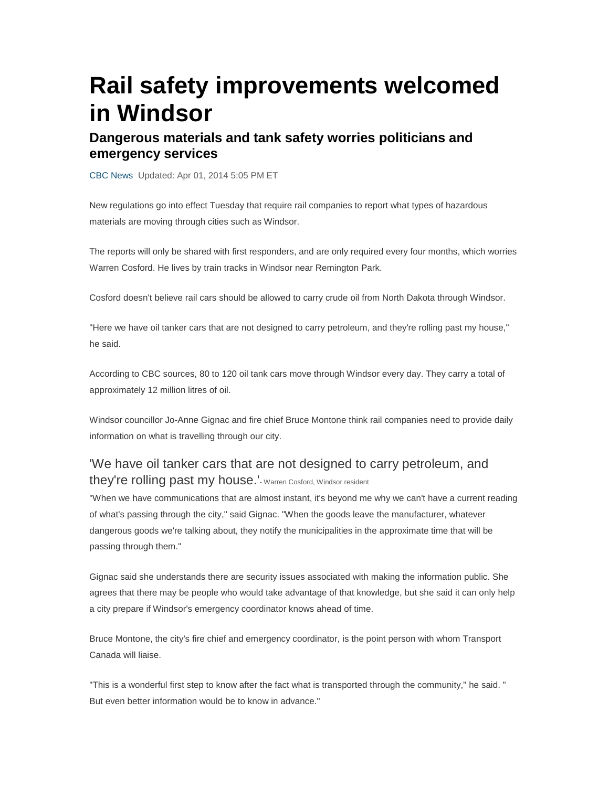# **Rail safety improvements welcomed in Windsor**

#### **Dangerous materials and tank safety worries politicians and emergency services**

CBC News Updated: Apr 01, 2014 5:05 PM ET

New regulations go into effect Tuesday that require rail companies to report what types of hazardous materials are moving through cities such as Windsor.

The reports will only be shared with first responders, and are only required every four months, which worries Warren Cosford. He lives by train tracks in Windsor near Remington Park.

Cosford doesn't believe rail cars should be allowed to carry crude oil from North Dakota through Windsor.

"Here we have oil tanker cars that are not designed to carry petroleum, and they're rolling past my house," he said.

According to CBC sources, 80 to 120 oil tank cars move through Windsor every day. They carry a total of approximately 12 million litres of oil.

Windsor councillor Jo-Anne Gignac and fire chief Bruce Montone think rail companies need to provide daily information on what is travelling through our city.

### 'We have oil tanker cars that are not designed to carry petroleum, and they're rolling past my house.'- Warren Cosford, Windsor resident

"When we have communications that are almost instant, it's beyond me why we can't have a current reading of what's passing through the city," said Gignac. "When the goods leave the manufacturer, whatever dangerous goods we're talking about, they notify the municipalities in the approximate time that will be passing through them."

Gignac said she understands there are security issues associated with making the information public. She agrees that there may be people who would take advantage of that knowledge, but she said it can only help a city prepare if Windsor's emergency coordinator knows ahead of time.

Bruce Montone, the city's fire chief and emergency coordinator, is the point person with whom Transport Canada will liaise.

"This is a wonderful first step to know after the fact what is transported through the community," he said. " But even better information would be to know in advance."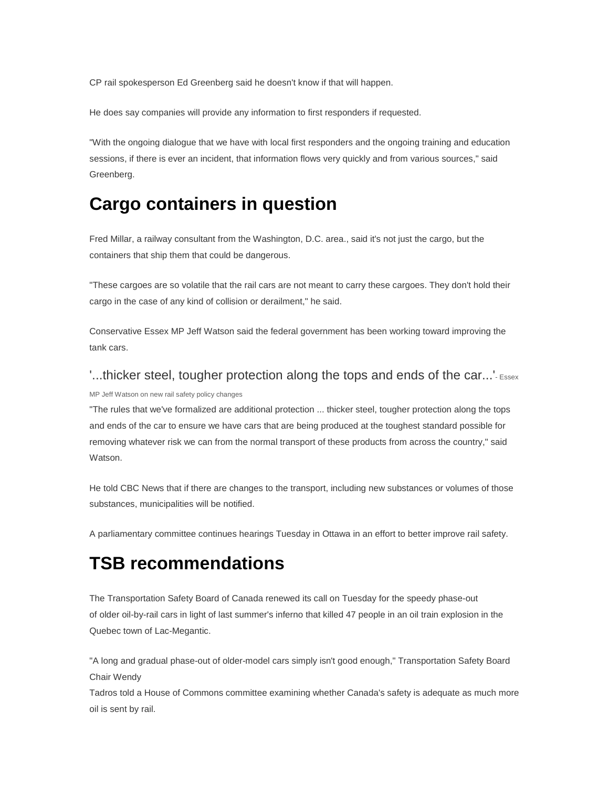CP rail spokesperson Ed Greenberg said he doesn't know if that will happen.

He does say companies will provide any information to first responders if requested.

"With the ongoing dialogue that we have with local first responders and the ongoing training and education sessions, if there is ever an incident, that information flows very quickly and from various sources," said Greenberg.

## **Cargo containers in question**

Fred Millar, a railway consultant from the Washington, D.C. area., said it's not just the cargo, but the containers that ship them that could be dangerous.

"These cargoes are so volatile that the rail cars are not meant to carry these cargoes. They don't hold their cargo in the case of any kind of collision or derailment," he said.

Conservative Essex MP Jeff Watson said the federal government has been working toward improving the tank cars.

#### '...thicker steel, tougher protection along the tops and ends of the car...' Essex MP Jeff Watson on new rail safety policy changes

"The rules that we've formalized are additional protection ... thicker steel, tougher protection along the tops and ends of the car to ensure we have cars that are being produced at the toughest standard possible for removing whatever risk we can from the normal transport of these products from across the country," said Watson.

He told CBC News that if there are changes to the transport, including new substances or volumes of those substances, municipalities will be notified.

A parliamentary committee continues hearings Tuesday in Ottawa in an effort to better improve rail safety.

## **TSB recommendations**

The Transportation Safety Board of Canada renewed its call on Tuesday for the speedy phase-out of older oil-by-rail cars in light of last summer's inferno that killed 47 people in an oil train explosion in the Quebec town of Lac-Megantic.

"A long and gradual phase-out of older-model cars simply isn't good enough," Transportation Safety Board Chair Wendy

Tadros told a House of Commons committee examining whether Canada's safety is adequate as much more oil is sent by rail.